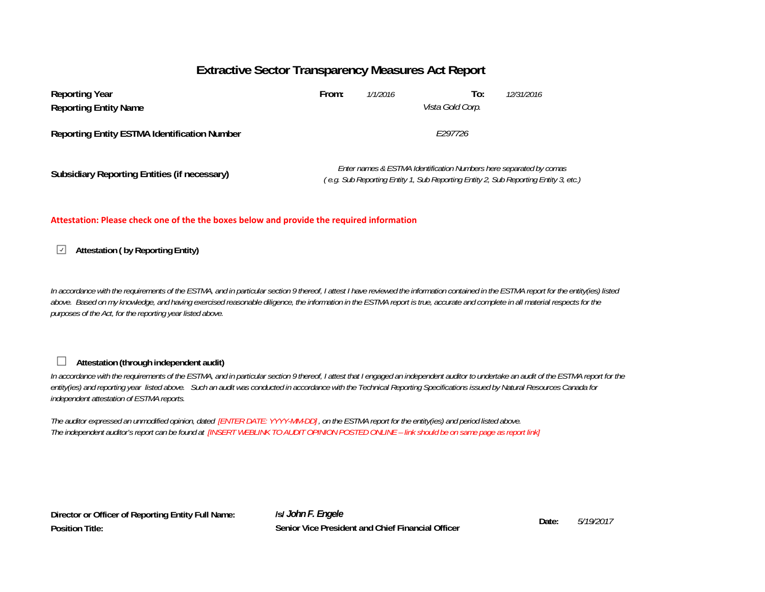# **Extractive Sector Transparency Measures Act Report**

| <b>Reporting Year</b><br><b>Reporting Entity Name</b> | From:                                                                                                                                                     | 1/1/2016 | To:<br>Vista Gold Corp. | 12/31/2016 |  |  |
|-------------------------------------------------------|-----------------------------------------------------------------------------------------------------------------------------------------------------------|----------|-------------------------|------------|--|--|
| <b>Reporting Entity ESTMA Identification Number</b>   | F297726                                                                                                                                                   |          |                         |            |  |  |
| Subsidiary Reporting Entities (if necessary)          | Enter names & ESTMA Identification Numbers here separated by comas<br>(e.g. Sub Reporting Entity 1, Sub Reporting Entity 2, Sub Reporting Entity 3, etc.) |          |                         |            |  |  |

## **Attestation: Please check one of the the boxes below and provide the required information**

# **Attestation ( by Reporting Entity)**

*In accordance with the requirements of the ESTMA, and in particular section 9 thereof, I attest I have reviewed the information contained in the ESTMA report for the entity(ies) listed*  above. Based on my knowledge, and having exercised reasonable diligence, the information in the ESTMA report is true, accurate and complete in all material respects for the *purposes of the Act, for the reporting year listed above.* 

# **Attestation (through independent audit)**

П

*In accordance with the requirements of the ESTMA, and in particular section 9 thereof, I attest that I engaged an independent auditor to undertake an audit of the ESTMA report for the entity(ies) and reporting year listed above. Such an audit was conducted in accordance with the Technical Reporting Specifications issued by Natural Resources Canada for independent attestation of ESTMA reports.* 

*The auditor expressed an unmodified opinion, dated [ENTER DATE: YYYY-MM-DD] , on the ESTMA report for the entity(ies) and period listed above. The independent auditor's report can be found at [INSERT WEBLINK TO AUDIT OPINION POSTED ONLINE – link should be on same page as report link]* 

**Director or Officer of Reporting Entity Full Name: Position Title:**

**/s/** *John F. Engele* **Date:Senior Vice President and Chief Financial Officer**

*5/19/2017*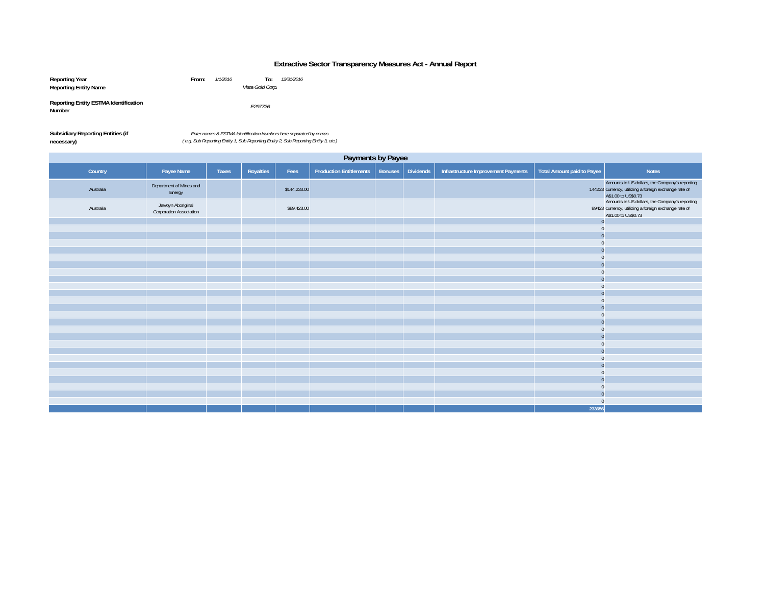## **Extractive Sector Transparency Measures Act - Annual Report**

| Reporting Year                                         | From: | 1/1/2016 | To:              | 12/31/2016 |
|--------------------------------------------------------|-------|----------|------------------|------------|
| <b>Reporting Entity Name</b>                           |       |          | Vista Gold Corp. |            |
| <b>Reporting Entity ESTMA Identification</b><br>Number |       |          | E297726          |            |

| <b>Subsidiary Reporting Entities (if</b> | Enter na     |
|------------------------------------------|--------------|
| necessary)                               | (e.g. Sub R) |

*Enter names & ESTMA Identification Numbers here separated by comas ( e.g. Sub Reporting Entity 1, Sub Reporting Entity 2, Sub Reporting Entity 3, etc.)*

| Payments by Payee |                                              |       |           |              |                                |                |                  |                                     |                                   |                                                                                                                                                                                  |
|-------------------|----------------------------------------------|-------|-----------|--------------|--------------------------------|----------------|------------------|-------------------------------------|-----------------------------------|----------------------------------------------------------------------------------------------------------------------------------------------------------------------------------|
| Country           | Payee Name                                   | Taxes | Royalties | Fees         | <b>Production Entitlements</b> | <b>Bonuses</b> | <b>Dividends</b> | Infrastructure Improvement Payments | <b>Total Amount paid to Payee</b> | <b>Notes</b>                                                                                                                                                                     |
| Australia         | Department of Mines and<br>Energy            |       |           | \$144,233.00 |                                |                |                  |                                     |                                   | Amounts in US dollars, the Company's reporting<br>144233 currency, utilizing a foreign exchange rate of<br>A\$1.00 to US\$0.73<br>Amounts in US dollars, the Company's reporting |
| Australia         | Jawoyn Aboriginal<br>Corporation Association |       |           | \$89,423.00  |                                |                |                  |                                     |                                   | 89423 currency, utilizing a foreign exchange rate of<br>A\$1.00 to US\$0.73                                                                                                      |
|                   |                                              |       |           |              |                                |                |                  |                                     | $\Omega$                          |                                                                                                                                                                                  |
|                   |                                              |       |           |              |                                |                |                  |                                     | $\Omega$                          |                                                                                                                                                                                  |
|                   |                                              |       |           |              |                                |                |                  |                                     |                                   |                                                                                                                                                                                  |
|                   |                                              |       |           |              |                                |                |                  |                                     |                                   |                                                                                                                                                                                  |
|                   |                                              |       |           |              |                                |                |                  |                                     |                                   |                                                                                                                                                                                  |
|                   |                                              |       |           |              |                                |                |                  |                                     |                                   |                                                                                                                                                                                  |
|                   |                                              |       |           |              |                                |                |                  |                                     |                                   |                                                                                                                                                                                  |
|                   |                                              |       |           |              |                                |                |                  |                                     |                                   |                                                                                                                                                                                  |
|                   |                                              |       |           |              |                                |                |                  |                                     |                                   |                                                                                                                                                                                  |
|                   |                                              |       |           |              |                                |                |                  |                                     |                                   |                                                                                                                                                                                  |
|                   |                                              |       |           |              |                                |                |                  |                                     |                                   |                                                                                                                                                                                  |
|                   |                                              |       |           |              |                                |                |                  |                                     |                                   |                                                                                                                                                                                  |
|                   |                                              |       |           |              |                                |                |                  |                                     |                                   |                                                                                                                                                                                  |
|                   |                                              |       |           |              |                                |                |                  |                                     |                                   |                                                                                                                                                                                  |
|                   |                                              |       |           |              |                                |                |                  |                                     |                                   |                                                                                                                                                                                  |
|                   |                                              |       |           |              |                                |                |                  |                                     |                                   |                                                                                                                                                                                  |
|                   |                                              |       |           |              |                                |                |                  |                                     |                                   |                                                                                                                                                                                  |
|                   |                                              |       |           |              |                                |                |                  |                                     |                                   |                                                                                                                                                                                  |
|                   |                                              |       |           |              |                                |                |                  |                                     |                                   |                                                                                                                                                                                  |
|                   |                                              |       |           |              |                                |                |                  |                                     |                                   |                                                                                                                                                                                  |
|                   |                                              |       |           |              |                                |                |                  |                                     |                                   |                                                                                                                                                                                  |
|                   |                                              |       |           |              |                                |                |                  |                                     |                                   |                                                                                                                                                                                  |
|                   |                                              |       |           |              |                                |                |                  |                                     |                                   |                                                                                                                                                                                  |
|                   |                                              |       |           |              |                                |                |                  |                                     | $\Omega$                          |                                                                                                                                                                                  |
|                   |                                              |       |           |              |                                |                |                  |                                     | 233656                            |                                                                                                                                                                                  |